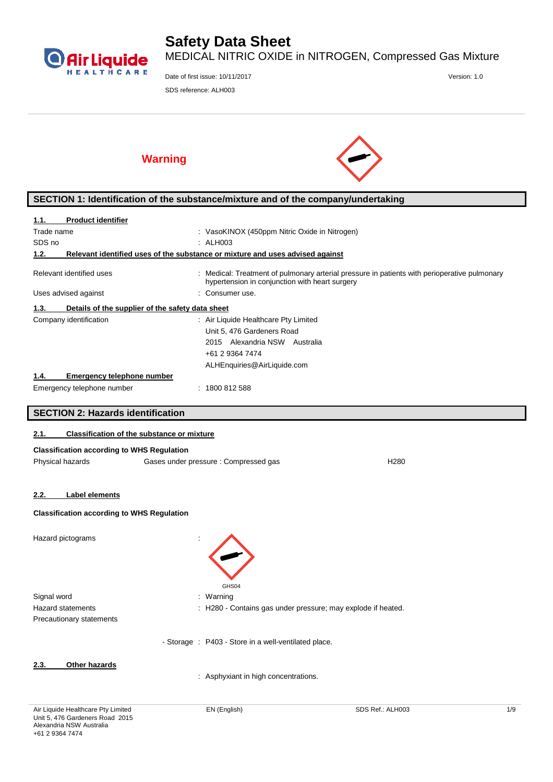

# **Safety Data Sheet**

MEDICAL NITRIC OXIDE in NITROGEN, Compressed Gas Mixture

Date of first issue: 10/11/2017 Version: 1.0 SDS reference: ALH003

# **Warning**



# **SECTION 1: Identification of the substance/mixture and of the company/undertaking**

| 1.1.       | <b>Product identifier</b>                        |                                                                                                                                                |  |
|------------|--------------------------------------------------|------------------------------------------------------------------------------------------------------------------------------------------------|--|
| Trade name |                                                  | : VasoKINOX (450ppm Nitric Oxide in Nitrogen)                                                                                                  |  |
| SDS no     |                                                  | : ALH003                                                                                                                                       |  |
| 1.2.       |                                                  | Relevant identified uses of the substance or mixture and uses advised against                                                                  |  |
|            | Relevant identified uses                         | : Medical: Treatment of pulmonary arterial pressure in patients with perioperative pulmonary<br>hypertension in conjunction with heart surgery |  |
|            | Uses advised against                             | Consumer use.                                                                                                                                  |  |
| 1.3.       | Details of the supplier of the safety data sheet |                                                                                                                                                |  |
|            | Company identification                           | : Air Liquide Healthcare Pty Limited                                                                                                           |  |
|            |                                                  | Unit 5, 476 Gardeners Road                                                                                                                     |  |
|            |                                                  | Alexandria NSW<br>2015<br>Australia                                                                                                            |  |
|            |                                                  | +61 2 9364 7474                                                                                                                                |  |
|            |                                                  | ALHEnguiries@AirLiguide.com                                                                                                                    |  |
| 1.4.       | Emergency telephone number                       |                                                                                                                                                |  |
|            | Emergency telephone number                       | 1800 812 588                                                                                                                                   |  |

# **SECTION 2: Hazards identification**

#### **2.1. Classification of the substance or mixture**

#### **Classification according to WHS Regulation**

| Physical hazards | Gases under pressure : Compressed gas | H <sub>280</sub> |
|------------------|---------------------------------------|------------------|
|                  |                                       |                  |

#### **2.2. Label elements**

#### **Classification according to WHS Regulation**

| Hazard pictograms                                                                                 |                                                      |                                                              |     |
|---------------------------------------------------------------------------------------------------|------------------------------------------------------|--------------------------------------------------------------|-----|
| Signal word                                                                                       | GHS04<br>: Warning                                   | : H280 - Contains gas under pressure; may explode if heated. |     |
| <b>Hazard statements</b>                                                                          |                                                      |                                                              |     |
| Precautionary statements                                                                          |                                                      |                                                              |     |
|                                                                                                   | - Storage : P403 - Store in a well-ventilated place. |                                                              |     |
| 2.3.<br>Other hazards                                                                             | : Asphyxiant in high concentrations.                 |                                                              |     |
| Air Liquide Healthcare Pty Limited<br>Unit 5, 476 Gardeners Road 2015<br>Alexandria NSW Australia | EN (English)                                         | SDS Ref.: ALH003                                             | 1/9 |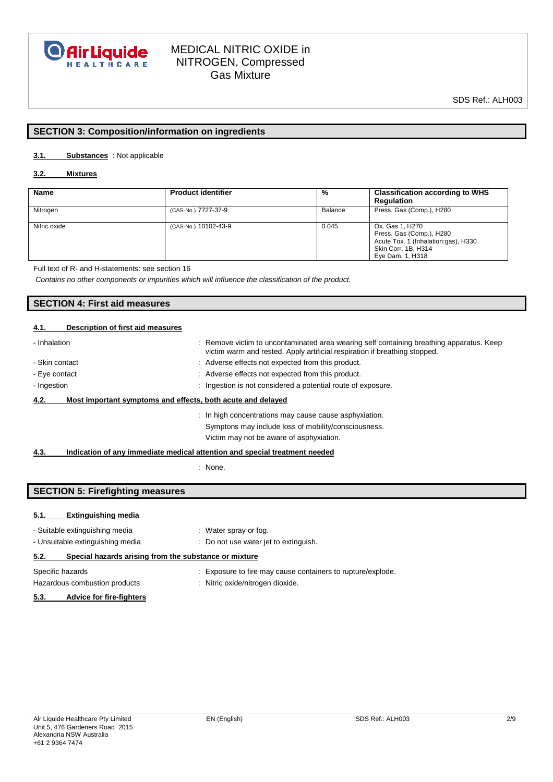

SDS Ref.: ALH003

# **SECTION 3: Composition/information on ingredients**

#### **3.1.** Substances: Not applicable

#### **3.2. Mixtures**

| <b>Name</b>  | <b>Product identifier</b> | %       | <b>Classification according to WHS</b><br><b>Regulation</b>                                                                   |
|--------------|---------------------------|---------|-------------------------------------------------------------------------------------------------------------------------------|
| Nitrogen     | (CAS-No.) 7727-37-9       | Balance | Press. Gas (Comp.), H280                                                                                                      |
| Nitric oxide | (CAS-No.) 10102-43-9      | 0.045   | Ox. Gas 1. H270<br>Press. Gas (Comp.), H280<br>Acute Tox. 1 (Inhalation:gas), H330<br>Skin Corr. 1B, H314<br>Eve Dam. 1. H318 |

Full text of R- and H-statements: see section 16

Contains no other components or impurities which will influence the classification of the product.

### **SECTION 4: First aid measures**

| 4.1.<br>Description of first aid measures                           |                                                                                                                                                                        |
|---------------------------------------------------------------------|------------------------------------------------------------------------------------------------------------------------------------------------------------------------|
| - Inhalation                                                        | : Remove victim to uncontaminated area wearing self containing breathing apparatus. Keep<br>victim warm and rested. Apply artificial respiration if breathing stopped. |
| - Skin contact                                                      | : Adverse effects not expected from this product.                                                                                                                      |
| - Eye contact                                                       | : Adverse effects not expected from this product.                                                                                                                      |
| - Ingestion                                                         | : Ingestion is not considered a potential route of exposure.                                                                                                           |
| Most important symptoms and effects, both acute and delayed<br>4.2. |                                                                                                                                                                        |
|                                                                     | : In high concentrations may cause cause asphyxiation.                                                                                                                 |
|                                                                     | Symptons may include loss of mobility/consciousness.                                                                                                                   |
|                                                                     | Victim may not be aware of asphyxiation.                                                                                                                               |
| 4.3.                                                                | Indication of any immediate medical attention and special treatment needed                                                                                             |
|                                                                     | : None.                                                                                                                                                                |

## **SECTION 5: Firefighting measures**

#### **5.1. Extinguishing media**

| - Suitable extinguishing media | : Water spray or fog. |
|--------------------------------|-----------------------|
|--------------------------------|-----------------------|

# - Unsuitable extinguishing media : Do not use water jet to extinguish.

# **5.2. Special hazards arising from the substance or mixture**

Specific hazards **Specific hazards** : Exposure to fire may cause containers to rupture/explode.

- Hazardous combustion products : Nitric oxide/nitrogen dioxide.
- **5.3. Advice for fire-fighters**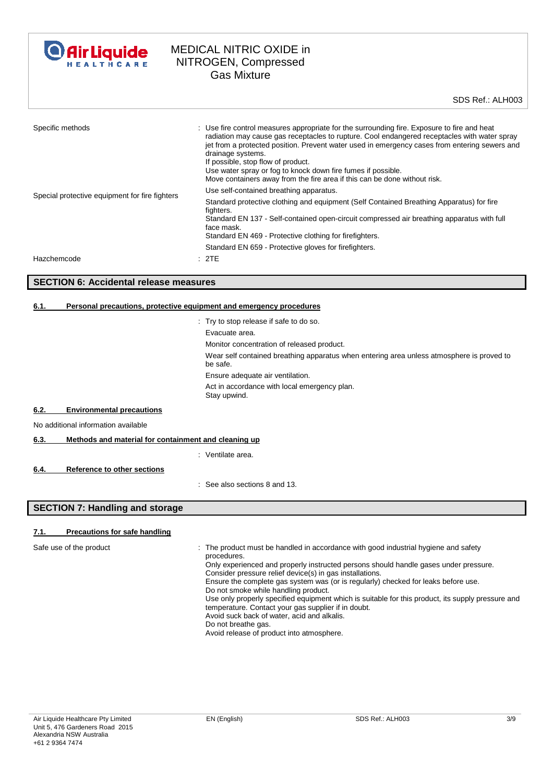

SDS Ref.: ALH003

| Specific methods                               | Use fire control measures appropriate for the surrounding fire. Exposure to fire and heat<br>÷<br>radiation may cause gas receptacles to rupture. Cool endangered receptacles with water spray<br>jet from a protected position. Prevent water used in emergency cases from entering sewers and<br>drainage systems.<br>If possible, stop flow of product.<br>Use water spray or fog to knock down fire fumes if possible.<br>Move containers away from the fire area if this can be done without risk.<br>Use self-contained breathing apparatus. |  |  |
|------------------------------------------------|----------------------------------------------------------------------------------------------------------------------------------------------------------------------------------------------------------------------------------------------------------------------------------------------------------------------------------------------------------------------------------------------------------------------------------------------------------------------------------------------------------------------------------------------------|--|--|
| Special protective equipment for fire fighters | Standard protective clothing and equipment (Self Contained Breathing Apparatus) for fire<br>fighters.<br>Standard EN 137 - Self-contained open-circuit compressed air breathing apparatus with full<br>face mask.<br>Standard EN 469 - Protective clothing for firefighters.<br>Standard EN 659 - Protective gloves for firefighters.                                                                                                                                                                                                              |  |  |
| Hazchemcode                                    | : 2TE                                                                                                                                                                                                                                                                                                                                                                                                                                                                                                                                              |  |  |

#### **SECTION 6: Accidental release measures**

#### **6.1. Personal precautions, protective equipment and emergency procedures**

|                                                              | : Try to stop release if safe to do so.                                                               |
|--------------------------------------------------------------|-------------------------------------------------------------------------------------------------------|
| Evacuate area.                                               |                                                                                                       |
| Monitor concentration of released product.                   |                                                                                                       |
|                                                              | Wear self contained breathing apparatus when entering area unless atmosphere is proved to<br>be safe. |
|                                                              | Ensure adequate air ventilation.                                                                      |
|                                                              | Act in accordance with local emergency plan.<br>Stay upwind.                                          |
| <b>Environmental precautions</b><br>6.2.                     |                                                                                                       |
| No additional information available                          |                                                                                                       |
| 6.3.<br>Methods and material for containment and cleaning up |                                                                                                       |
|                                                              | : Ventilate area.                                                                                     |
| Reference to other sections<br>6.4.                          |                                                                                                       |
|                                                              | $\therefore$ See also sections 8 and 13.                                                              |
| <b>SECTION 7: Handling and storage</b>                       |                                                                                                       |
|                                                              |                                                                                                       |
| Precautions for safe handling<br>7.1.                        |                                                                                                       |
| Safe use of the product                                      | : The product must be handled in accordance with good industrial hygiene and safety                   |

procedures. Only experienced and properly instructed persons should handle gases under pressure. Consider pressure relief device(s) in gas installations. Ensure the complete gas system was (or is regularly) checked for leaks before use. Do not smoke while handling product. Use only properly specified equipment which is suitable for this product, its supply pressure and temperature. Contact your gas supplier if in doubt. Avoid suck back of water, acid and alkalis. Do not breathe gas. Avoid release of product into atmosphere.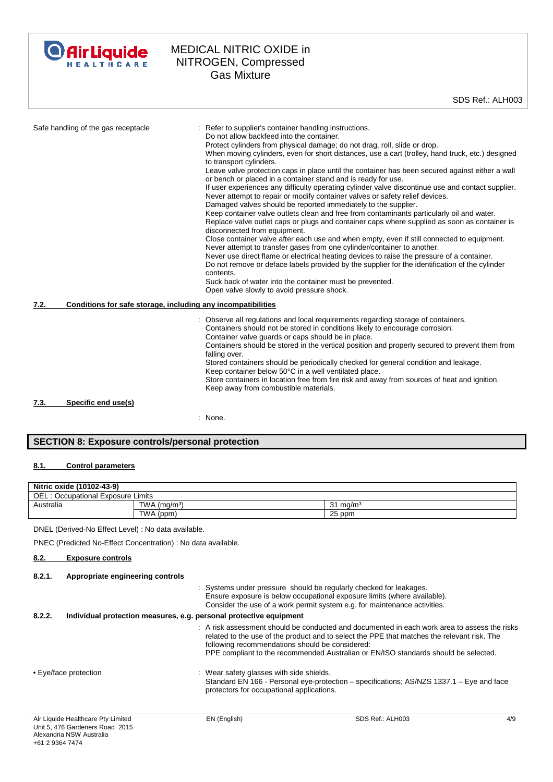

SDS Ref.: ALH003

| Safe handling of the gas receptacle                                  | Refer to supplier's container handling instructions.<br>Do not allow backfeed into the container.<br>Protect cylinders from physical damage; do not drag, roll, slide or drop.<br>When moving cylinders, even for short distances, use a cart (trolley, hand truck, etc.) designed<br>to transport cylinders.<br>Leave valve protection caps in place until the container has been secured against either a wall<br>or bench or placed in a container stand and is ready for use.<br>If user experiences any difficulty operating cylinder valve discontinue use and contact supplier.<br>Never attempt to repair or modify container valves or safety relief devices.<br>Damaged valves should be reported immediately to the supplier.<br>Keep container valve outlets clean and free from contaminants particularly oil and water.<br>Replace valve outlet caps or plugs and container caps where supplied as soon as container is<br>disconnected from equipment.<br>Close container valve after each use and when empty, even if still connected to equipment.<br>Never attempt to transfer gases from one cylinder/container to another.<br>Never use direct flame or electrical heating devices to raise the pressure of a container.<br>Do not remove or deface labels provided by the supplier for the identification of the cylinder<br>contents.<br>Suck back of water into the container must be prevented. |
|----------------------------------------------------------------------|-------------------------------------------------------------------------------------------------------------------------------------------------------------------------------------------------------------------------------------------------------------------------------------------------------------------------------------------------------------------------------------------------------------------------------------------------------------------------------------------------------------------------------------------------------------------------------------------------------------------------------------------------------------------------------------------------------------------------------------------------------------------------------------------------------------------------------------------------------------------------------------------------------------------------------------------------------------------------------------------------------------------------------------------------------------------------------------------------------------------------------------------------------------------------------------------------------------------------------------------------------------------------------------------------------------------------------------------------------------------------------------------------------------------------|
| Conditions for safe storage, including any incompatibilities<br>7.2. | Open valve slowly to avoid pressure shock.                                                                                                                                                                                                                                                                                                                                                                                                                                                                                                                                                                                                                                                                                                                                                                                                                                                                                                                                                                                                                                                                                                                                                                                                                                                                                                                                                                              |
|                                                                      | Observe all regulations and local requirements regarding storage of containers.<br>Containers should not be stored in conditions likely to encourage corrosion.<br>Container valve guards or caps should be in place.<br>Containers should be stored in the vertical position and properly secured to prevent them from<br>falling over.<br>Stored containers should be periodically checked for general condition and leakage.<br>Keep container below 50°C in a well ventilated place.<br>Store containers in location free from fire risk and away from sources of heat and ignition.<br>Keep away from combustible materials.                                                                                                                                                                                                                                                                                                                                                                                                                                                                                                                                                                                                                                                                                                                                                                                       |
| Specific end use(s)<br>7.3.                                          |                                                                                                                                                                                                                                                                                                                                                                                                                                                                                                                                                                                                                                                                                                                                                                                                                                                                                                                                                                                                                                                                                                                                                                                                                                                                                                                                                                                                                         |

: None.

## **SECTION 8: Exposure controls/personal protection**

#### **8.1. Control parameters**

| Nitric oxide (10102-43-9)               |                            |                     |
|-----------------------------------------|----------------------------|---------------------|
| OEL:<br>.: Occupational Exposure Limits |                            |                     |
| Australia                               | $TWA$ (ma/m <sup>3</sup> ) | $31 \text{ ma/m}^3$ |
|                                         | TWA.<br>: (ppm             | 25 ppm              |
|                                         |                            |                     |

DNEL (Derived-No Effect Level) : No data available.

PNEC (Predicted No-Effect Concentration) : No data available.

# **8.2. Exposure controls**

#### **8.2.1. Appropriate engineering controls**

|                                                                                                   |                                                                                       | : Systems under pressure should be regularly checked for leakages.<br>Ensure exposure is below occupational exposure limits (where available).<br>Consider the use of a work permit system e.g. for maintenance activities.                                                                   |     |
|---------------------------------------------------------------------------------------------------|---------------------------------------------------------------------------------------|-----------------------------------------------------------------------------------------------------------------------------------------------------------------------------------------------------------------------------------------------------------------------------------------------|-----|
| 8.2.2.<br>Individual protection measures, e.g. personal protective equipment                      |                                                                                       |                                                                                                                                                                                                                                                                                               |     |
|                                                                                                   | following recommendations should be considered:                                       | $\therefore$ A risk assessment should be conducted and documented in each work area to assess the risks<br>related to the use of the product and to select the PPE that matches the relevant risk. The<br>PPE compliant to the recommended Australian or EN/ISO standards should be selected. |     |
| • Eye/face protection                                                                             | : Wear safety glasses with side shields.<br>protectors for occupational applications. | Standard EN 166 - Personal eye-protection – specifications; AS/NZS 1337.1 – Eye and face                                                                                                                                                                                                      |     |
| Air Liquide Healthcare Pty Limited<br>Unit 5, 476 Gardeners Road 2015<br>Alexandria NSW Australia | EN (English)                                                                          | SDS Ref.: ALH003                                                                                                                                                                                                                                                                              | 4/9 |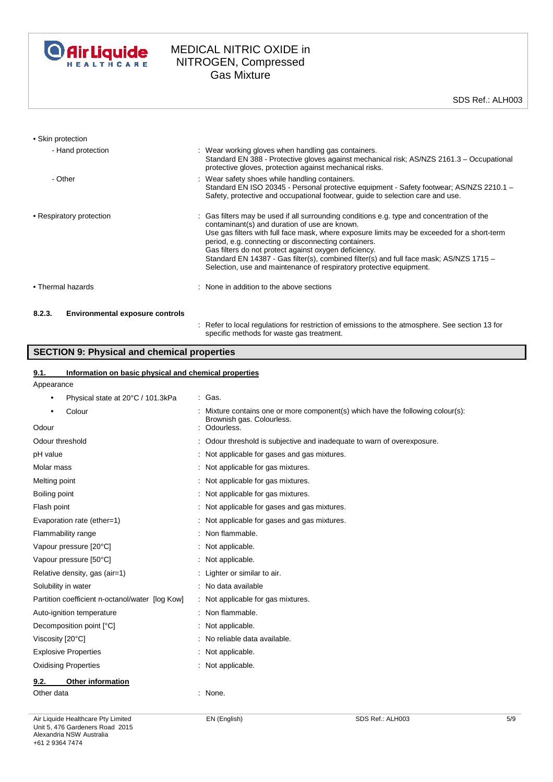

#### • Skin protection

| - Hand protection                                | : Wear working gloves when handling gas containers.<br>Standard EN 388 - Protective gloves against mechanical risk; AS/NZS 2161.3 - Occupational<br>protective gloves, protection against mechanical risks.                                                                                                                                                                                                                                                                                                                   |  |
|--------------------------------------------------|-------------------------------------------------------------------------------------------------------------------------------------------------------------------------------------------------------------------------------------------------------------------------------------------------------------------------------------------------------------------------------------------------------------------------------------------------------------------------------------------------------------------------------|--|
| - Other                                          | : Wear safety shoes while handling containers.<br>Standard EN ISO 20345 - Personal protective equipment - Safety footwear; AS/NZS 2210.1 -<br>Safety, protective and occupational footwear, quide to selection care and use.                                                                                                                                                                                                                                                                                                  |  |
| • Respiratory protection                         | : Gas filters may be used if all surrounding conditions e.g. type and concentration of the<br>contaminant(s) and duration of use are known.<br>Use gas filters with full face mask, where exposure limits may be exceeded for a short-term<br>period, e.g. connecting or disconnecting containers.<br>Gas filters do not protect against oxygen deficiency.<br>Standard EN 14387 - Gas filter(s), combined filter(s) and full face mask; AS/NZS 1715 -<br>Selection, use and maintenance of respiratory protective equipment. |  |
| • Thermal hazards                                | : None in addition to the above sections                                                                                                                                                                                                                                                                                                                                                                                                                                                                                      |  |
| 8.2.3.<br><b>Environmental exposure controls</b> | : Refer to local regulations for restriction of emissions to the atmosphere. See section 13 for                                                                                                                                                                                                                                                                                                                                                                                                                               |  |

# specific methods for waste gas treatment.

# **SECTION 9: Physical and chemical properties**

#### **9.1. Information on basic physical and chemical properties**

Appearance

| Physical state at 20°C / 101.3kPa<br>$\bullet$  | : Gas.                                                                                                     |
|-------------------------------------------------|------------------------------------------------------------------------------------------------------------|
| Colour                                          | Mixture contains one or more component(s) which have the following colour(s):<br>Brownish gas. Colourless. |
| Odour                                           | Odourless.                                                                                                 |
| Odour threshold                                 | Odour threshold is subjective and inadequate to warn of overexposure.                                      |
| pH value                                        | Not applicable for gases and gas mixtures.                                                                 |
| Molar mass                                      | Not applicable for gas mixtures.                                                                           |
| Melting point                                   | Not applicable for gas mixtures.                                                                           |
| Boiling point                                   | Not applicable for gas mixtures.                                                                           |
| Flash point                                     | Not applicable for gases and gas mixtures.                                                                 |
| Evaporation rate (ether=1)                      | Not applicable for gases and gas mixtures.                                                                 |
| Flammability range                              | Non flammable.                                                                                             |
| Vapour pressure [20°C]                          | Not applicable.                                                                                            |
| Vapour pressure [50°C]                          | Not applicable.                                                                                            |
| Relative density, gas (air=1)                   | Lighter or similar to air.                                                                                 |
| Solubility in water                             | : No data available                                                                                        |
| Partition coefficient n-octanol/water [log Kow] | : Not applicable for gas mixtures.                                                                         |
| Auto-ignition temperature                       | Non flammable.                                                                                             |
| Decomposition point [°C]                        | Not applicable.                                                                                            |
| Viscosity [20°C]                                | No reliable data available.                                                                                |
| <b>Explosive Properties</b>                     | Not applicable.                                                                                            |
| <b>Oxidising Properties</b>                     | Not applicable.                                                                                            |
| <b>Other information</b><br>9.2.                |                                                                                                            |
| Other data                                      | : None.                                                                                                    |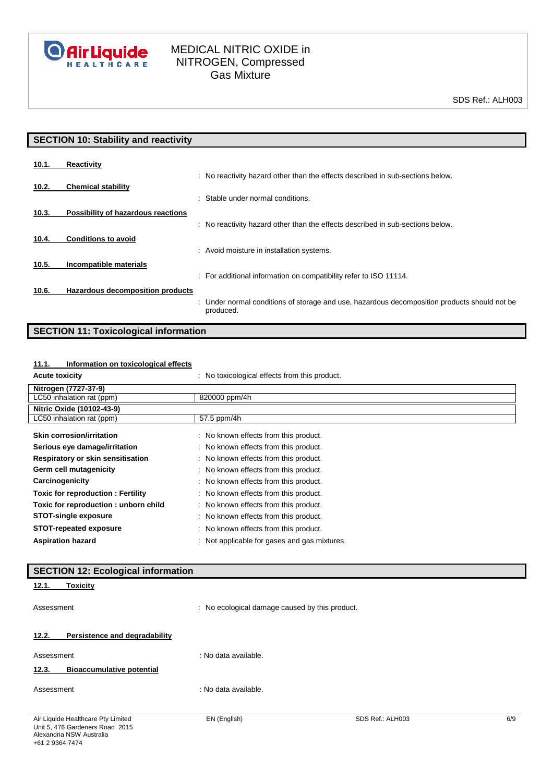

|              | <b>SECTION 10: Stability and reactivity</b> |                                                                                                           |
|--------------|---------------------------------------------|-----------------------------------------------------------------------------------------------------------|
| <u>10.1.</u> | <b>Reactivity</b>                           |                                                                                                           |
|              |                                             | : No reactivity hazard other than the effects described in sub-sections below.                            |
| 10.2.        | <b>Chemical stability</b>                   | : Stable under normal conditions.                                                                         |
| 10.3.        | Possibility of hazardous reactions          |                                                                                                           |
| 10.4.        | <b>Conditions to avoid</b>                  | : No reactivity hazard other than the effects described in sub-sections below.                            |
|              |                                             | : Avoid moisture in installation systems.                                                                 |
| 10.5.        | Incompatible materials                      | : For additional information on compatibility refer to ISO 11114.                                         |
| 10.6.        | Hazardous decomposition products            |                                                                                                           |
|              |                                             | : Under normal conditions of storage and use, hazardous decomposition products should not be<br>produced. |

# **SECTION 11: Toxicological information**

#### **11.1. Information on toxicological effects**

| <b>Acute toxicity</b>                    | : No toxicological effects from this product. |
|------------------------------------------|-----------------------------------------------|
| Nitrogen (7727-37-9)                     |                                               |
| LC50 inhalation rat (ppm)                | 820000 ppm/4h                                 |
| Nitric Oxide (10102-43-9)                |                                               |
| LC50 inhalation rat (ppm)                | 57.5 ppm/4h                                   |
| Skin corrosion/irritation                | : No known effects from this product.         |
| Serious eye damage/irritation            | : No known effects from this product.         |
| Respiratory or skin sensitisation        | : No known effects from this product.         |
| Germ cell mutagenicity                   | : No known effects from this product.         |
| Carcinogenicity                          | : No known effects from this product.         |
| <b>Toxic for reproduction: Fertility</b> | : No known effects from this product.         |
| Toxic for reproduction: unborn child     | : No known effects from this product.         |
| <b>STOT-single exposure</b>              | : No known effects from this product.         |
| <b>STOT-repeated exposure</b>            | : No known effects from this product.         |
| <b>Aspiration hazard</b>                 | : Not applicable for gases and gas mixtures.  |
|                                          |                                               |

| <b>SECTION 12: Ecological information</b> |  |
|-------------------------------------------|--|
|                                           |  |

| Assessment                                | : No ecological damage caused by this product. |                  |     |
|-------------------------------------------|------------------------------------------------|------------------|-----|
| Persistence and degradability<br>12.2.    |                                                |                  |     |
| Assessment                                | : No data available.                           |                  |     |
| <b>Bioaccumulative potential</b><br>12.3. |                                                |                  |     |
| Assessment                                | : No data available.                           |                  |     |
|                                           |                                                |                  |     |
| Air Liquide Healthcare Pty Limited        | EN (English)                                   | SDS Ref.: ALH003 | 6/9 |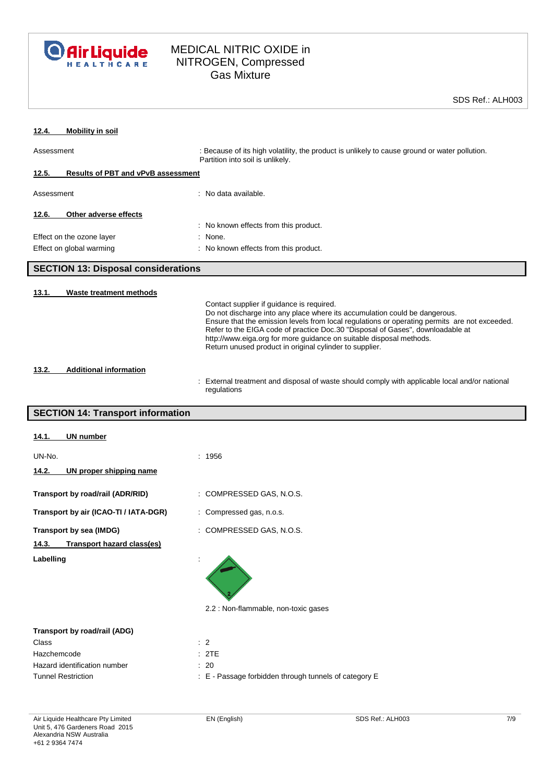

SDS Ref.: ALH003

| <b>Mobility in soil</b><br>12.4.                   |                                                                                                                                                                                                                                                                                                                                                                                                                                              |
|----------------------------------------------------|----------------------------------------------------------------------------------------------------------------------------------------------------------------------------------------------------------------------------------------------------------------------------------------------------------------------------------------------------------------------------------------------------------------------------------------------|
| Assessment                                         | : Because of its high volatility, the product is unlikely to cause ground or water pollution.<br>Partition into soil is unlikely.                                                                                                                                                                                                                                                                                                            |
| <b>Results of PBT and vPvB assessment</b><br>12.5. |                                                                                                                                                                                                                                                                                                                                                                                                                                              |
| Assessment                                         | : No data available.                                                                                                                                                                                                                                                                                                                                                                                                                         |
| 12.6.<br>Other adverse effects                     |                                                                                                                                                                                                                                                                                                                                                                                                                                              |
|                                                    | : No known effects from this product.                                                                                                                                                                                                                                                                                                                                                                                                        |
| Effect on the ozone layer                          | : None.                                                                                                                                                                                                                                                                                                                                                                                                                                      |
| Effect on global warming                           | : No known effects from this product.                                                                                                                                                                                                                                                                                                                                                                                                        |
| <b>SECTION 13: Disposal considerations</b>         |                                                                                                                                                                                                                                                                                                                                                                                                                                              |
| Waste treatment methods<br>13.1.                   |                                                                                                                                                                                                                                                                                                                                                                                                                                              |
|                                                    | Contact supplier if guidance is required.<br>Do not discharge into any place where its accumulation could be dangerous.<br>Ensure that the emission levels from local regulations or operating permits are not exceeded.<br>Refer to the EIGA code of practice Doc.30 "Disposal of Gases", downloadable at<br>http://www.eiga.org for more guidance on suitable disposal methods.<br>Return unused product in original cylinder to supplier. |
| <b>Additional information</b><br>13.2.             | External treatment and disposal of waste should comply with applicable local and/or national<br>regulations                                                                                                                                                                                                                                                                                                                                  |
| <b>SECTION 14: Transport information</b>           |                                                                                                                                                                                                                                                                                                                                                                                                                                              |
| <b>UN</b> number<br>14.1.                          |                                                                                                                                                                                                                                                                                                                                                                                                                                              |
| UN-No.                                             | : 1956                                                                                                                                                                                                                                                                                                                                                                                                                                       |
| 14.2.<br>UN proper shipping name                   |                                                                                                                                                                                                                                                                                                                                                                                                                                              |
| Transport by road/rail (ADR/RID)                   | : COMPRESSED GAS, N.O.S.                                                                                                                                                                                                                                                                                                                                                                                                                     |
| Transport by air (ICAO-TI / IATA-DGR)              | : Compressed gas, n.o.s.                                                                                                                                                                                                                                                                                                                                                                                                                     |
| Transport by sea (IMDG)                            | : COMPRESSED GAS, N.O.S.                                                                                                                                                                                                                                                                                                                                                                                                                     |
| <b>Transport hazard class(es)</b><br>14.3.         |                                                                                                                                                                                                                                                                                                                                                                                                                                              |
| Labelling                                          |                                                                                                                                                                                                                                                                                                                                                                                                                                              |
|                                                    | 2.2 : Non-flammable, non-toxic gases                                                                                                                                                                                                                                                                                                                                                                                                         |
| Transport by road/rail (ADG)                       |                                                                                                                                                                                                                                                                                                                                                                                                                                              |
| Class                                              | $\therefore$ 2                                                                                                                                                                                                                                                                                                                                                                                                                               |
| Hazchemcode                                        | : 2TE                                                                                                                                                                                                                                                                                                                                                                                                                                        |
| Hazard identification number                       | $\therefore$ 20                                                                                                                                                                                                                                                                                                                                                                                                                              |
| <b>Tunnel Restriction</b>                          | : E - Passage forbidden through tunnels of category E                                                                                                                                                                                                                                                                                                                                                                                        |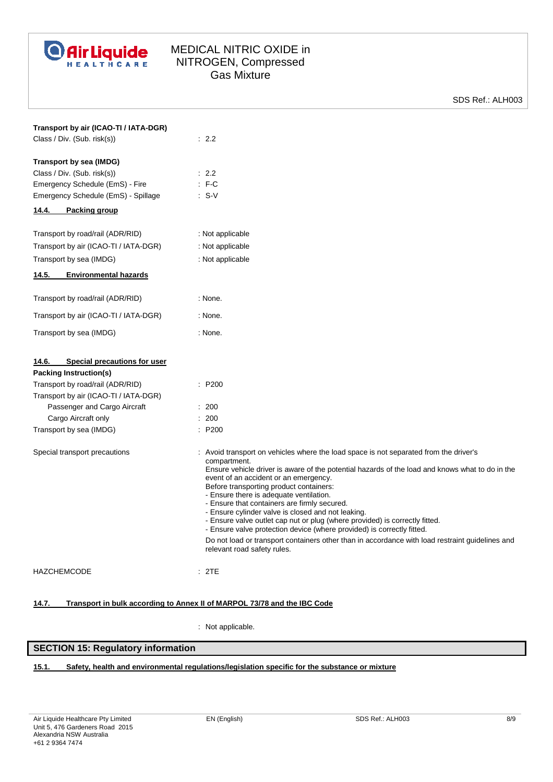

SDS Ref.: ALH003

| Transport by air (ICAO-TI / IATA-DGR) |                                                                                                                                                                                                                                                                                                                                                                                                                                                                                                                                                                                                                                                                                                                                          |
|---------------------------------------|------------------------------------------------------------------------------------------------------------------------------------------------------------------------------------------------------------------------------------------------------------------------------------------------------------------------------------------------------------------------------------------------------------------------------------------------------------------------------------------------------------------------------------------------------------------------------------------------------------------------------------------------------------------------------------------------------------------------------------------|
| Class / Div. (Sub. risk(s))           | : 2.2                                                                                                                                                                                                                                                                                                                                                                                                                                                                                                                                                                                                                                                                                                                                    |
| Transport by sea (IMDG)               |                                                                                                                                                                                                                                                                                                                                                                                                                                                                                                                                                                                                                                                                                                                                          |
| Class / Div. (Sub. risk(s))           | : 2.2                                                                                                                                                                                                                                                                                                                                                                                                                                                                                                                                                                                                                                                                                                                                    |
| Emergency Schedule (EmS) - Fire       | $: F-C$                                                                                                                                                                                                                                                                                                                                                                                                                                                                                                                                                                                                                                                                                                                                  |
| Emergency Schedule (EmS) - Spillage   | $\cdot$ S-V                                                                                                                                                                                                                                                                                                                                                                                                                                                                                                                                                                                                                                                                                                                              |
| 14.4.<br>Packing group                |                                                                                                                                                                                                                                                                                                                                                                                                                                                                                                                                                                                                                                                                                                                                          |
| Transport by road/rail (ADR/RID)      | : Not applicable                                                                                                                                                                                                                                                                                                                                                                                                                                                                                                                                                                                                                                                                                                                         |
| Transport by air (ICAO-TI / IATA-DGR) | : Not applicable                                                                                                                                                                                                                                                                                                                                                                                                                                                                                                                                                                                                                                                                                                                         |
| Transport by sea (IMDG)               | : Not applicable                                                                                                                                                                                                                                                                                                                                                                                                                                                                                                                                                                                                                                                                                                                         |
| <b>Environmental hazards</b><br>14.5. |                                                                                                                                                                                                                                                                                                                                                                                                                                                                                                                                                                                                                                                                                                                                          |
| Transport by road/rail (ADR/RID)      | : None.                                                                                                                                                                                                                                                                                                                                                                                                                                                                                                                                                                                                                                                                                                                                  |
| Transport by air (ICAO-TI / IATA-DGR) | : None.                                                                                                                                                                                                                                                                                                                                                                                                                                                                                                                                                                                                                                                                                                                                  |
| Transport by sea (IMDG)               | : None.                                                                                                                                                                                                                                                                                                                                                                                                                                                                                                                                                                                                                                                                                                                                  |
| Special precautions for user<br>14.6. |                                                                                                                                                                                                                                                                                                                                                                                                                                                                                                                                                                                                                                                                                                                                          |
| Packing Instruction(s)                |                                                                                                                                                                                                                                                                                                                                                                                                                                                                                                                                                                                                                                                                                                                                          |
| Transport by road/rail (ADR/RID)      | : P200                                                                                                                                                                                                                                                                                                                                                                                                                                                                                                                                                                                                                                                                                                                                   |
| Transport by air (ICAO-TI / IATA-DGR) |                                                                                                                                                                                                                                                                                                                                                                                                                                                                                                                                                                                                                                                                                                                                          |
| Passenger and Cargo Aircraft          | : 200                                                                                                                                                                                                                                                                                                                                                                                                                                                                                                                                                                                                                                                                                                                                    |
| Cargo Aircraft only                   | 200                                                                                                                                                                                                                                                                                                                                                                                                                                                                                                                                                                                                                                                                                                                                      |
| Transport by sea (IMDG)               | : P200                                                                                                                                                                                                                                                                                                                                                                                                                                                                                                                                                                                                                                                                                                                                   |
| Special transport precautions         | : Avoid transport on vehicles where the load space is not separated from the driver's<br>compartment.<br>Ensure vehicle driver is aware of the potential hazards of the load and knows what to do in the<br>event of an accident or an emergency.<br>Before transporting product containers:<br>- Ensure there is adequate ventilation.<br>- Ensure that containers are firmly secured.<br>- Ensure cylinder valve is closed and not leaking.<br>- Ensure valve outlet cap nut or plug (where provided) is correctly fitted.<br>- Ensure valve protection device (where provided) is correctly fitted.<br>Do not load or transport containers other than in accordance with load restraint guidelines and<br>relevant road safety rules. |
| <b>HAZCHEMCODE</b>                    | :2TE                                                                                                                                                                                                                                                                                                                                                                                                                                                                                                                                                                                                                                                                                                                                     |
|                                       |                                                                                                                                                                                                                                                                                                                                                                                                                                                                                                                                                                                                                                                                                                                                          |

## **14.7. Transport in bulk according to Annex II of MARPOL 73/78 and the IBC Code**

: Not applicable.

# **SECTION 15: Regulatory information**

#### **15.1. Safety, health and environmental regulations/legislation specific for the substance or mixture**